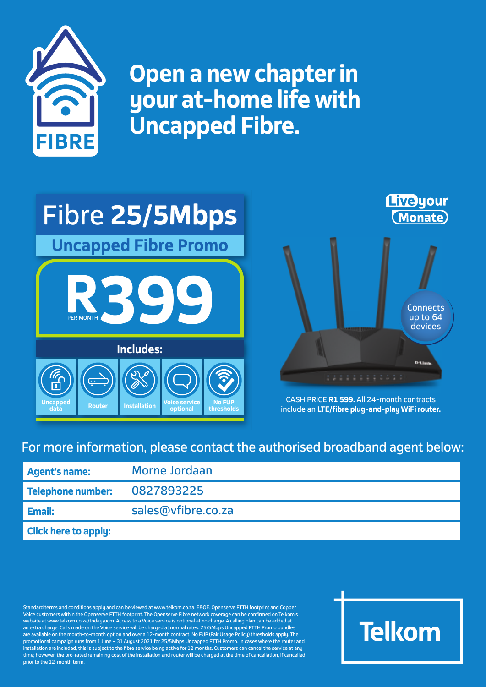

**Open a new chapter in your at-home life with Uncapped Fibre. FIBRE**





CASH PRICE **R1 599.** All 24-month contracts include an **LTE/f ibre plug-and-play WiFi router.**

## For more information, please contact the authorised broadband agent below:

| <b>Agent's name:</b>         | Morne Jordaan      |
|------------------------------|--------------------|
| Telephone number: 0827893225 |                    |
| Email:                       | sales@vfibre.co.za |
| <b>Click here to apply:</b>  |                    |

Standard terms and conditions apply and can be viewed at www.telkom.co.za. E&OE. Openserve FTTH footprint and Copper Voice customers within the Openserve FTTH footprint. The Openserve Fibre network coverage can be confirmed on Telkom's website at www.telkom co.za/today/ucm. Access to a Voice service is optional at no charge. A calling plan can be added at an extra charge. Calls made on the Voice service will be charged at normal rates. 25/5Mbps Uncapped FTTH Promo bundles are available on the month-to-month option and over a 12-month contract. No FUP (Fair Usage Policy) thresholds apply. The promotional campaign runs from 1 June – 31 August 2021 for 25/5Mbps Uncapped FTTH Promo. In cases where the router and installation are included, this is subject to the fibre service being active for 12 months. Customers can cancel the service at any time; however, the pro-rated remaining cost of the installation and router will be charged at the time of cancellation, if cancelled prior to the 12-month term.

## **Telkom**